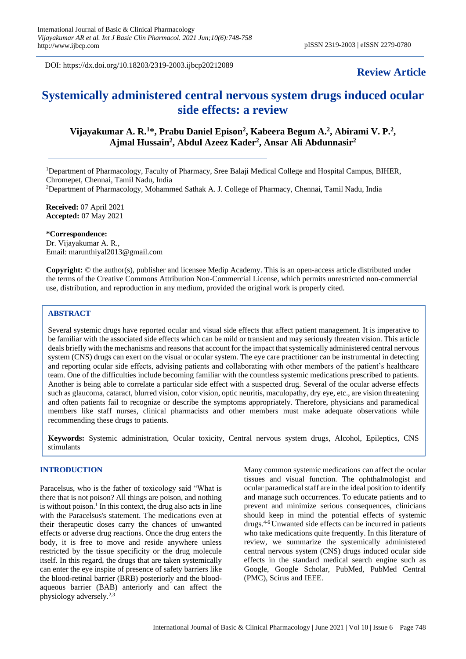DOI: https://dx.doi.org/10.18203/2319-2003.ijbcp20212089

# **Review Article**

# **Systemically administered central nervous system drugs induced ocular side effects: a review**

## **Vijayakumar A. R.<sup>1</sup>\*, Prabu Daniel Epison<sup>2</sup> , Kabeera Begum A.<sup>2</sup> , Abirami V. P.<sup>2</sup> , Ajmal Hussain<sup>2</sup> , Abdul Azeez Kader<sup>2</sup> , Ansar Ali Abdunnasir<sup>2</sup>**

<sup>1</sup>Department of Pharmacology, Faculty of Pharmacy, Sree Balaji Medical College and Hospital Campus, BIHER, Chromepet, Chennai, Tamil Nadu, India

<sup>2</sup>Department of Pharmacology, Mohammed Sathak A. J. College of Pharmacy, Chennai, Tamil Nadu, India

**Received:** 07 April 2021 **Accepted:** 07 May 2021

**\*Correspondence:** Dr. Vijayakumar A. R.,

Email: marunthiyal2013@gmail.com

**Copyright:** © the author(s), publisher and licensee Medip Academy. This is an open-access article distributed under the terms of the Creative Commons Attribution Non-Commercial License, which permits unrestricted non-commercial use, distribution, and reproduction in any medium, provided the original work is properly cited.

## **ABSTRACT**

Several systemic drugs have reported ocular and visual side effects that affect patient management. It is imperative to be familiar with the associated side effects which can be mild or transient and may seriously threaten vision. This article deals briefly with the mechanisms and reasons that account for the impact that systemically administered central nervous system (CNS) drugs can exert on the visual or ocular system. The eye care practitioner can be instrumental in detecting and reporting ocular side effects, advising patients and collaborating with other members of the patient's healthcare team. One of the difficulties include becoming familiar with the countless systemic medications prescribed to patients. Another is being able to correlate a particular side effect with a suspected drug. Several of the ocular adverse effects such as glaucoma, cataract, blurred vision, color vision, optic neuritis, maculopathy, dry eye, etc., are vision threatening and often patients fail to recognize or describe the symptoms appropriately. Therefore, physicians and paramedical members like staff nurses, clinical pharmacists and other members must make adequate observations while recommending these drugs to patients.

**Keywords:** Systemic administration, Ocular toxicity, Central nervous system drugs, Alcohol, Epileptics, CNS stimulants

## **INTRODUCTION**

Paracelsus, who is the father of toxicology said "What is there that is not poison? All things are poison, and nothing is without poison. $<sup>1</sup>$  In this context, the drug also acts in line</sup> with the Paracelsus's statement. The medications even at their therapeutic doses carry the chances of unwanted effects or adverse drug reactions. Once the drug enters the body, it is free to move and reside anywhere unless restricted by the tissue specificity or the drug molecule itself. In this regard, the drugs that are taken systemically can enter the eye inspite of presence of safety barriers like the blood-retinal barrier (BRB) posteriorly and the bloodaqueous barrier (BAB) anteriorly and can affect the physiology adversely.2,3

Many common systemic medications can affect the ocular tissues and visual function. The ophthalmologist and ocular paramedical staff are in the ideal position to identify and manage such occurrences. To educate patients and to prevent and minimize serious consequences, clinicians should keep in mind the potential effects of systemic drugs.4-6 Unwanted side effects can be incurred in patients who take medications quite frequently. In this literature of review, we summarize the systemically administered central nervous system (CNS) drugs induced ocular side effects in the standard medical search engine such as Google, Google Scholar, PubMed, PubMed Central (PMC), Scirus and IEEE.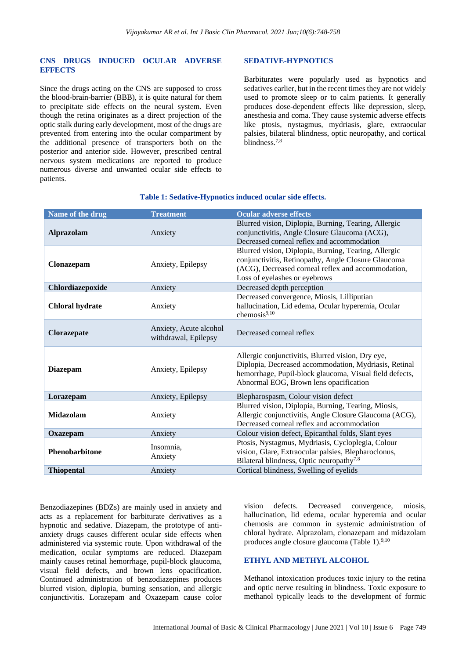#### **CNS DRUGS INDUCED OCULAR ADVERSE EFFECTS**

Since the drugs acting on the CNS are supposed to cross the blood-brain-barrier (BBB), it is quite natural for them to precipitate side effects on the neural system. Even though the retina originates as a direct projection of the optic stalk during early development, most of the drugs are prevented from entering into the ocular compartment by the additional presence of transporters both on the posterior and anterior side. However, prescribed central nervous system medications are reported to produce numerous diverse and unwanted ocular side effects to patients.

#### **SEDATIVE-HYPNOTICS**

Barbiturates were popularly used as hypnotics and sedatives earlier, but in the recent times they are not widely used to promote sleep or to calm patients. It generally produces dose-dependent effects like depression, sleep, anesthesia and coma. They cause systemic adverse effects like ptosis, nystagmus, mydriasis, glare, extraocular palsies, bilateral blindness, optic neuropathy, and cortical blindness<sup>7,8</sup>

| Name of the drug       | <b>Treatment</b>                               | <b>Ocular adverse effects</b>                                                                                                                                                                                   |  |
|------------------------|------------------------------------------------|-----------------------------------------------------------------------------------------------------------------------------------------------------------------------------------------------------------------|--|
| <b>Alprazolam</b>      | Anxiety                                        | Blurred vision, Diplopia, Burning, Tearing, Allergic<br>conjunctivitis, Angle Closure Glaucoma (ACG),<br>Decreased corneal reflex and accommodation                                                             |  |
| Clonazepam             | Anxiety, Epilepsy                              | Blurred vision, Diplopia, Burning, Tearing, Allergic<br>conjunctivitis, Retinopathy, Angle Closure Glaucoma<br>(ACG), Decreased corneal reflex and accommodation,<br>Loss of eyelashes or eyebrows              |  |
| Chlordiazepoxide       | Anxiety                                        | Decreased depth perception                                                                                                                                                                                      |  |
| <b>Chloral hydrate</b> | Anxiety                                        | Decreased convergence, Miosis, Lilliputian<br>hallucination, Lid edema, Ocular hyperemia, Ocular<br>chemosis9,10                                                                                                |  |
| Clorazepate            | Anxiety, Acute alcohol<br>withdrawal, Epilepsy | Decreased corneal reflex                                                                                                                                                                                        |  |
| <b>Diazepam</b>        | Anxiety, Epilepsy                              | Allergic conjunctivitis, Blurred vision, Dry eye,<br>Diplopia, Decreased accommodation, Mydriasis, Retinal<br>hemorrhage, Pupil-block glaucoma, Visual field defects,<br>Abnormal EOG, Brown lens opacification |  |
| Lorazepam              | Anxiety, Epilepsy                              | Blepharospasm, Colour vision defect                                                                                                                                                                             |  |
| Midazolam              | Anxiety                                        | Blurred vision, Diplopia, Burning, Tearing, Miosis,<br>Allergic conjunctivitis, Angle Closure Glaucoma (ACG),<br>Decreased corneal reflex and accommodation                                                     |  |
| Oxazepam               | Anxiety                                        | Colour vision defect, Epicanthal folds, Slant eyes                                                                                                                                                              |  |
| Phenobarbitone         | Insomnia.<br>Anxiety                           | Ptosis, Nystagmus, Mydriasis, Cycloplegia, Colour<br>vision, Glare, Extraocular palsies, Blepharoclonus,<br>Bilateral blindness, Optic neuropathy <sup>7,8</sup>                                                |  |
| <b>Thiopental</b>      | Anxiety                                        | Cortical blindness, Swelling of eyelids                                                                                                                                                                         |  |

## **Table 1: Sedative-Hypnotics induced ocular side effects.**

Benzodiazepines (BDZs) are mainly used in anxiety and acts as a replacement for barbiturate derivatives as a hypnotic and sedative. Diazepam, the prototype of antianxiety drugs causes different ocular side effects when administered via systemic route. Upon withdrawal of the medication, ocular symptoms are reduced. Diazepam mainly causes retinal hemorrhage, pupil-block glaucoma, visual field defects, and brown lens opacification. Continued administration of benzodiazepines produces blurred vision, diplopia, burning sensation, and allergic conjunctivitis. Lorazepam and Oxazepam cause color vision defects. Decreased convergence, miosis, hallucination, lid edema, ocular hyperemia and ocular chemosis are common in systemic administration of chloral hydrate. Alprazolam, clonazepam and midazolam produces angle closure glaucoma (Table 1). $9,10$ 

## **ETHYL AND METHYL ALCOHOL**

Methanol intoxication produces toxic injury to the retina and optic nerve resulting in blindness. Toxic exposure to methanol typically leads to the development of formic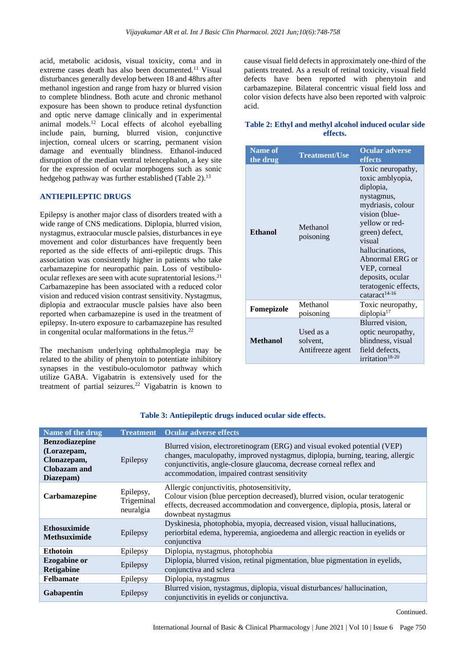acid, metabolic acidosis, visual toxicity, coma and in extreme cases death has also been documented.<sup>11</sup> Visual disturbances generally develop between 18 and 48hrs after methanol ingestion and range from hazy or blurred vision to complete blindness. Both acute and chronic methanol exposure has been shown to produce retinal dysfunction and optic nerve damage clinically and in experimental animal models.<sup>12</sup> Local effects of alcohol eyeballing include pain, burning, blurred vision, conjunctive injection, corneal ulcers or scarring, permanent vision damage and eventually blindness. Ethanol-induced disruption of the median ventral telencephalon, a key site for the expression of ocular morphogens such as sonic hedgehog pathway was further established (Table 2).<sup>13</sup>

## **ANTIEPILEPTIC DRUGS**

Epilepsy is another major class of disorders treated with a wide range of CNS medications. Diplopia, blurred vision, nystagmus, extraocular muscle palsies, disturbances in eye movement and color disturbances have frequently been reported as the side effects of anti-epileptic drugs. This association was consistently higher in patients who take carbamazepine for neuropathic pain. Loss of vestibuloocular reflexes are seen with acute supratentorial lesions.<sup>21</sup> Carbamazepine has been associated with a reduced color vision and reduced vision contrast sensitivity. Nystagmus, diplopia and extraocular muscle palsies have also been reported when carbamazepine is used in the treatment of epilepsy. In-utero exposure to carbamazepine has resulted in congenital ocular malformations in the fetus. $22$ 

The mechanism underlying ophthalmoplegia may be related to the ability of phenytoin to potentiate inhibitory synapses in the vestibulo-oculomotor pathway which utilize GABA. Vigabatrin is extensively used for the treatment of partial seizures.<sup>22</sup> Vigabatrin is known to cause visual field defects in approximately one-third of the patients treated. As a result of retinal toxicity, visual field defects have been reported with phenytoin and carbamazepine. Bilateral concentric visual field loss and color vision defects have also been reported with valproic acid.

#### **Table 2: Ethyl and methyl alcohol induced ocular side effects.**

| <b>Name of</b><br>the drug | <b>Treatment/Use</b>                      | <b>Ocular adverse</b><br>effects                                                                                                                                                                                                                                                    |
|----------------------------|-------------------------------------------|-------------------------------------------------------------------------------------------------------------------------------------------------------------------------------------------------------------------------------------------------------------------------------------|
| <b>Ethanol</b>             | Methanol<br>poisoning                     | Toxic neuropathy,<br>toxic amblyopia,<br>diplopia,<br>nystagmus,<br>mydriasis, colour<br>vision (blue-<br>yellow or red-<br>green) defect,<br>visual<br>hallucinations,<br>Abnormal ERG or<br>VEP, corneal<br>deposits, ocular<br>teratogenic effects,<br>cataract <sup>14-16</sup> |
| Fomepizole                 | Methanol<br>poisoning                     | Toxic neuropathy,<br>diplopia <sup>17</sup>                                                                                                                                                                                                                                         |
| <b>Methanol</b>            | Used as a<br>solvent,<br>Antifreeze agent | Blurred vision,<br>optic neuropathy,<br>blindness, visual<br>field defects,<br>irritation <sup>18-20</sup>                                                                                                                                                                          |

| Name of the drug                                                                        | <b>Treatment</b>                     | <b>Ocular adverse effects</b>                                                                                                                                                                                                                                                      |  |
|-----------------------------------------------------------------------------------------|--------------------------------------|------------------------------------------------------------------------------------------------------------------------------------------------------------------------------------------------------------------------------------------------------------------------------------|--|
| <b>Benzodiazepine</b><br>(Lorazepam,<br>Clonazepam,<br><b>Clobazam</b> and<br>Diazepam) | Epilepsy                             | Blurred vision, electroretinogram (ERG) and visual evoked potential (VEP)<br>changes, maculopathy, improved nystagmus, diplopia, burning, tearing, allergic<br>conjunctivitis, angle-closure glaucoma, decrease corneal reflex and<br>accommodation, impaired contrast sensitivity |  |
| Carbamazepine                                                                           | Epilepsy,<br>Trigeminal<br>neuralgia | Allergic conjunctivitis, photosensitivity,<br>Colour vision (blue perception decreased), blurred vision, ocular teratogenic<br>effects, decreased accommodation and convergence, diplopia, ptosis, lateral or<br>downbeat nystagmus                                                |  |
| <b>Ethosuximide</b><br><b>Methsuximide</b>                                              | Epilepsy                             | Dyskinesia, photophobia, myopia, decreased vision, visual hallucinations,<br>periorbital edema, hyperemia, angioedema and allergic reaction in eyelids or<br>conjunctiva                                                                                                           |  |
| <b>Ethotoin</b>                                                                         | Epilepsy                             | Diplopia, nystagmus, photophobia                                                                                                                                                                                                                                                   |  |
| <b>Ezogabine or</b><br><b>Retigabine</b>                                                | Epilepsy                             | Diplopia, blurred vision, retinal pigmentation, blue pigmentation in eyelids,<br>conjunctiva and sclera                                                                                                                                                                            |  |
| <b>Felbamate</b>                                                                        | Epilepsy                             | Diplopia, nystagmus                                                                                                                                                                                                                                                                |  |
| <b>Gabapentin</b>                                                                       | Epilepsy                             | Blurred vision, nystagmus, diplopia, visual disturbances/hallucination,<br>conjunctivitis in eyelids or conjunctiva.                                                                                                                                                               |  |

#### **Table 3: Antiepileptic drugs induced ocular side effects.**

Continued.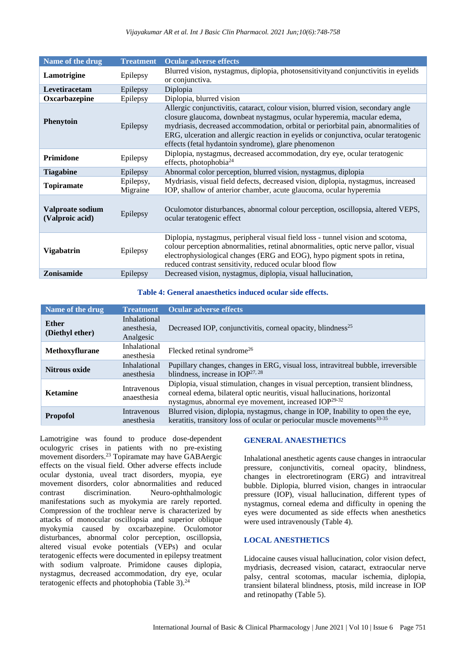| Name of the drug                    | <b>Treatment</b>      | <b>Ocular adverse effects</b>                                                                                                                                                                                                                                                                                                                                                                   |  |
|-------------------------------------|-----------------------|-------------------------------------------------------------------------------------------------------------------------------------------------------------------------------------------------------------------------------------------------------------------------------------------------------------------------------------------------------------------------------------------------|--|
| Lamotrigine                         | Epilepsy              | Blurred vision, nystagmus, diplopia, photosensitivityand conjunctivitis in eyelids<br>or conjunctiva.                                                                                                                                                                                                                                                                                           |  |
| Levetiracetam                       | Epilepsy              | Diplopia                                                                                                                                                                                                                                                                                                                                                                                        |  |
| Oxcarbazepine                       | Epilepsy              | Diplopia, blurred vision                                                                                                                                                                                                                                                                                                                                                                        |  |
| <b>Phenytoin</b>                    | Epilepsy              | Allergic conjunctivitis, cataract, colour vision, blurred vision, secondary angle<br>closure glaucoma, downbeat nystagmus, ocular hyperemia, macular edema,<br>mydriasis, decreased accommodation, orbital or periorbital pain, abnormalities of<br>ERG, ulceration and allergic reaction in eyelids or conjunctiva, ocular teratogenic<br>effects (fetal hydantoin syndrome), glare phenomenon |  |
| Primidone                           | Epilepsy              | Diplopia, nystagmus, decreased accommodation, dry eye, ocular teratogenic<br>effects, photophobia $^{24}$                                                                                                                                                                                                                                                                                       |  |
| <b>Tiagabine</b>                    | Epilepsy              | Abnormal color perception, blurred vision, nystagmus, diplopia                                                                                                                                                                                                                                                                                                                                  |  |
| <b>Topiramate</b>                   | Epilepsy,<br>Migraine | Mydriasis, visual field defects, decreased vision, diplopia, nystagmus, increased<br>IOP, shallow of anterior chamber, acute glaucoma, ocular hyperemia                                                                                                                                                                                                                                         |  |
| Valproate sodium<br>(Valproic acid) | Epilepsy              | Oculomotor disturbances, abnormal colour perception, oscillopsia, altered VEPS,<br>ocular teratogenic effect                                                                                                                                                                                                                                                                                    |  |
| <b>Vigabatrin</b>                   | Epilepsy              | Diplopia, nystagmus, peripheral visual field loss - tunnel vision and scotoma,<br>colour perception abnormalities, retinal abnormalities, optic nerve pallor, visual<br>electrophysiological changes (ERG and EOG), hypo pigment spots in retina,<br>reduced contrast sensitivity, reduced ocular blood flow                                                                                    |  |
| Zonisamide                          | Epilepsy              | Decreased vision, nystagmus, diplopia, visual hallucination,                                                                                                                                                                                                                                                                                                                                    |  |

#### **Table 4: General anaesthetics induced ocular side effects.**

| Name of the drug         | <b>Treatment</b>                         | <b>Ocular adverse effects</b>                                                                                                                                                                                                      |
|--------------------------|------------------------------------------|------------------------------------------------------------------------------------------------------------------------------------------------------------------------------------------------------------------------------------|
| Ether<br>(Diethyl ether) | Inhalational<br>anesthesia,<br>Analgesic | Decreased IOP, conjunctivitis, corneal opacity, blindness <sup>25</sup>                                                                                                                                                            |
| <b>Methoxyflurane</b>    | Inhalational<br>anesthesia               | Flecked retinal syndrome <sup>26</sup>                                                                                                                                                                                             |
| <b>Nitrous oxide</b>     | Inhalational<br>anesthesia               | Pupillary changes, changes in ERG, visual loss, intravitreal bubble, irreversible<br>blindness, increase in $IOP^{27, 28}$                                                                                                         |
| <b>Ketamine</b>          | Intravenous<br>anaesthesia               | Diplopia, visual stimulation, changes in visual perception, transient blindness,<br>corneal edema, bilateral optic neuritis, visual hallucinations, horizontal<br>nystagmus, abnormal eye movement, increased IOP <sup>29-32</sup> |
| <b>Propofol</b>          | Intravenous<br>anesthesia                | Blurred vision, diplopia, nystagmus, change in IOP, Inability to open the eye,<br>keratitis, transitory loss of ocular or periocular muscle movements <sup>33-35</sup>                                                             |

Lamotrigine was found to produce dose-dependent oculogyric crises in patients with no pre-existing movement disorders.<sup>23</sup> Topiramate may have GABAergic effects on the visual field. Other adverse effects include ocular dystonia, uveal tract disorders, myopia, eye movement disorders, color abnormalities and reduced contrast discrimination. Neuro-ophthalmologic manifestations such as myokymia are rarely reported. Compression of the trochlear nerve is characterized by attacks of monocular oscillopsia and superior oblique myokymia caused by oxcarbazepine. Oculomotor disturbances, abnormal color perception, oscillopsia, altered visual evoke potentials (VEPs) and ocular teratogenic effects were documented in epilepsy treatment with sodium valproate. Primidone causes diplopia, nystagmus, decreased accommodation, dry eye, ocular teratogenic effects and photophobia (Table 3).<sup>24</sup>

#### **GENERAL ANAESTHETICS**

Inhalational anesthetic agents cause changes in intraocular pressure, conjunctivitis, corneal opacity, blindness, changes in electroretinogram (ERG) and intravitreal bubble. Diplopia, blurred vision, changes in intraocular pressure (IOP), visual hallucination, different types of nystagmus, corneal edema and difficulty in opening the eyes were documented as side effects when anesthetics were used intravenously (Table 4).

#### **LOCAL ANESTHETICS**

Lidocaine causes visual hallucination, color vision defect, mydriasis, decreased vision, cataract, extraocular nerve palsy, central scotomas, macular ischemia, diplopia, transient bilateral blindness, ptosis, mild increase in IOP and retinopathy (Table 5).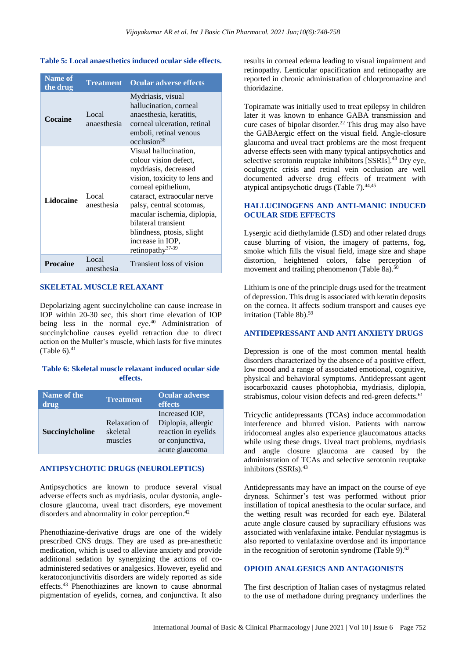#### **Table 5: Local anaesthetics induced ocular side effects.**

| <b>Name of</b><br>the drug | <b>Treatment</b>     | <b>Ocular adverse effects</b>                                                                                                                                                                                                                                                                                                   |
|----------------------------|----------------------|---------------------------------------------------------------------------------------------------------------------------------------------------------------------------------------------------------------------------------------------------------------------------------------------------------------------------------|
| Cocaine                    | Local<br>anaesthesia | Mydriasis, visual<br>hallucination, corneal<br>anaesthesia, keratitis,<br>corneal ulceration, retinal<br>emboli, retinal venous<br>$\alpha$ cclusion <sup>36</sup>                                                                                                                                                              |
| Lidocaine                  | Local<br>anesthesia  | Visual hallucination,<br>colour vision defect,<br>mydriasis, decreased<br>vision, toxicity to lens and<br>corneal epithelium,<br>cataract, extraocular nerve<br>palsy, central scotomas,<br>macular ischemia, diplopia,<br>bilateral transient<br>blindness, ptosis, slight<br>increase in IOP,<br>retinopathy <sup>37-39</sup> |
| Procaine                   | Local<br>anesthesia  | Transient loss of vision                                                                                                                                                                                                                                                                                                        |

## **SKELETAL MUSCLE RELAXANT**

Depolarizing agent succinylcholine can cause increase in IOP within 20-30 sec, this short time elevation of IOP being less in the normal eye.<sup>40</sup> Administration of succinylcholine causes eyelid retraction due to direct action on the Muller's muscle, which lasts for five minutes (Table  $6$ ). $41$ 

## **Table 6: Skeletal muscle relaxant induced ocular side effects.**

| Name of the<br>drug | <b>Treatment</b>                     | <b>Ocular adverse</b><br>effects                                                                 |
|---------------------|--------------------------------------|--------------------------------------------------------------------------------------------------|
| Succinylcholine     | Relaxation of<br>skeletal<br>muscles | Increased IOP.<br>Diplopia, allergic<br>reaction in eyelids<br>or conjunctiva,<br>acute glaucoma |

#### **ANTIPSYCHOTIC DRUGS (NEUROLEPTICS)**

Antipsychotics are known to produce several visual adverse effects such as mydriasis, ocular dystonia, angleclosure glaucoma, uveal tract disorders, eye movement disorders and abnormality in color perception.<sup>42</sup>

Phenothiazine-derivative drugs are one of the widely prescribed CNS drugs. They are used as pre-anesthetic medication, which is used to alleviate anxiety and provide additional sedation by synergizing the actions of coadministered sedatives or analgesics. However, eyelid and keratoconjunctivitis disorders are widely reported as side effects.<sup>43</sup> Phenothiazines are known to cause abnormal pigmentation of eyelids, cornea, and conjunctiva. It also results in corneal edema leading to visual impairment and retinopathy. Lenticular opacification and retinopathy are reported in chronic administration of chlorpromazine and thioridazine.

Topiramate was initially used to treat epilepsy in children later it was known to enhance GABA transmission and cure cases of bipolar disorder.<sup>22</sup> This drug may also have the GABAergic effect on the visual field. Angle-closure glaucoma and uveal tract problems are the most frequent adverse effects seen with many typical antipsychotics and selective serotonin reuptake inhibitors [SSRIs].<sup>43</sup> Dry eye, oculogyric crisis and retinal vein occlusion are well documented adverse drug effects of treatment with atypical antipsychotic drugs (Table 7).44,45

## **HALLUCINOGENS AND ANTI-MANIC INDUCED OCULAR SIDE EFFECTS**

Lysergic acid diethylamide (LSD) and other related drugs cause blurring of vision, the imagery of patterns, fog, smoke which fills the visual field, image size and shape distortion, heightened colors, false perception of movement and trailing phenomenon (Table 8a).<sup>50</sup>

Lithium is one of the principle drugs used for the treatment of depression. This drug is associated with keratin deposits on the cornea. It affects sodium transport and causes eye irritation (Table 8b).<sup>59</sup>

## **ANTIDEPRESSANT AND ANTI ANXIETY DRUGS**

Depression is one of the most common mental health disorders characterized by the absence of a positive effect, low mood and a range of associated emotional, cognitive, physical and behavioral symptoms. Antidepressant agent isocarboxazid causes photophobia, mydriasis, diplopia, strabismus, colour vision defects and red-green defects.<sup>61</sup>

Tricyclic antidepressants (TCAs) induce accommodation interference and blurred vision. Patients with narrow iridocorneal angles also experience glaucomatous attacks while using these drugs. Uveal tract problems, mydriasis and angle closure glaucoma are caused by the administration of TCAs and selective serotonin reuptake inhibitors (SSRIs).<sup>43</sup>

Antidepressants may have an impact on the course of eye dryness. Schirmer's test was performed without prior instillation of topical anesthesia to the ocular surface, and the wetting result was recorded for each eye. Bilateral acute angle closure caused by supraciliary effusions was associated with venlafaxine intake. Pendular nystagmus is also reported to venlafaxine overdose and its importance in the recognition of serotonin syndrome (Table 9). $62$ 

## **OPIOID ANALGESICS AND ANTAGONISTS**

The first description of Italian cases of nystagmus related to the use of methadone during pregnancy underlines the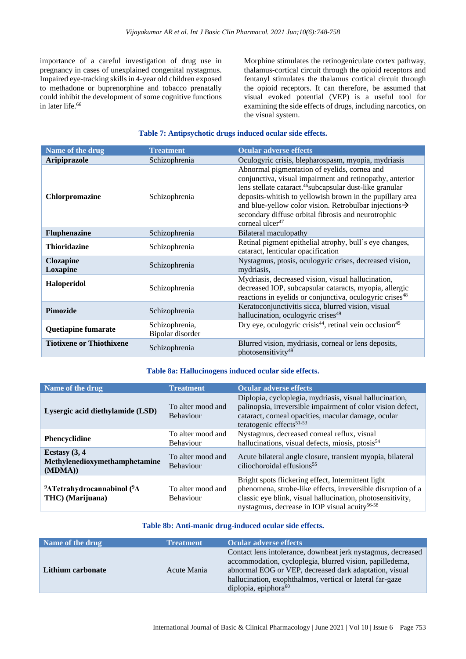importance of a careful investigation of drug use in pregnancy in cases of unexplained congenital nystagmus. Impaired eye-tracking skills in 4-year old children exposed to methadone or buprenorphine and tobacco prenatally could inhibit the development of some cognitive functions in later life.<sup>66</sup>

Morphine stimulates the retinogeniculate cortex pathway, thalamus-cortical circuit through the opioid receptors and fentanyl stimulates the thalamus cortical circuit through the opioid receptors. It can therefore, be assumed that visual evoked potential (VEP) is a useful tool for examining the side effects of drugs, including narcotics, on the visual system.

## **Table 7: Antipsychotic drugs induced ocular side effects.**

| Name of the drug                | <b>Treatment</b>                   | <b>Ocular adverse effects</b>                                                                                                                                                                                                                                                                                                                                                                             |
|---------------------------------|------------------------------------|-----------------------------------------------------------------------------------------------------------------------------------------------------------------------------------------------------------------------------------------------------------------------------------------------------------------------------------------------------------------------------------------------------------|
| <b>Aripiprazole</b>             | Schizophrenia                      | Oculogyric crisis, blepharospasm, myopia, mydriasis                                                                                                                                                                                                                                                                                                                                                       |
| <b>Chlorpromazine</b>           | Schizophrenia                      | Abnormal pigmentation of eyelids, cornea and<br>conjunctiva, visual impairment and retinopathy, anterior<br>lens stellate cataract. <sup>46</sup> subcapsular dust-like granular<br>deposits-whitish to yellowish brown in the pupillary area<br>and blue-yellow color vision. Retrobulbar injections $\rightarrow$<br>secondary diffuse orbital fibrosis and neurotrophic<br>corneal ulcer <sup>47</sup> |
| <b>Fluphenazine</b>             | Schizophrenia                      | Bilateral maculopathy                                                                                                                                                                                                                                                                                                                                                                                     |
| <b>Thioridazine</b>             | Schizophrenia                      | Retinal pigment epithelial atrophy, bull's eye changes,<br>cataract, lenticular opacification                                                                                                                                                                                                                                                                                                             |
| <b>Clozapine</b><br>Loxapine    | Schizophrenia                      | Nystagmus, ptosis, oculogyric crises, decreased vision,<br>mydriasis.                                                                                                                                                                                                                                                                                                                                     |
| <b>Haloperidol</b>              | Schizophrenia                      | Mydriasis, decreased vision, visual hallucination,<br>decreased IOP, subcapsular cataracts, myopia, allergic<br>reactions in eyelids or conjunctiva, oculogyric crises <sup>48</sup>                                                                                                                                                                                                                      |
| Pimozide                        | Schizophrenia                      | Keratoconjunctivitis sicca, blurred vision, visual<br>hallucination, oculogyric crises <sup>49</sup>                                                                                                                                                                                                                                                                                                      |
| Quetiapine fumarate             | Schizophrenia,<br>Bipolar disorder | Dry eye, oculogyric crisis <sup>44</sup> , retinal vein occlusion <sup>45</sup>                                                                                                                                                                                                                                                                                                                           |
| <b>Tiotixene or Thiothixene</b> | Schizophrenia                      | Blurred vision, mydriasis, corneal or lens deposits,<br>photosensitivity <sup>49</sup>                                                                                                                                                                                                                                                                                                                    |

#### **Table 8a: Hallucinogens induced ocular side effects.**

| Name of the drug                                                                       | <b>Treatment</b>                      | <b>Ocular adverse effects</b>                                                                                                                                                                                                                 |
|----------------------------------------------------------------------------------------|---------------------------------------|-----------------------------------------------------------------------------------------------------------------------------------------------------------------------------------------------------------------------------------------------|
| Lysergic acid diethylamide (LSD)                                                       | To alter mood and<br><b>Behaviour</b> | Diplopia, cycloplegia, mydriasis, visual hallucination,<br>palinopsia, irreversible impairment of color vision defect,<br>cataract, corneal opacities, macular damage, ocular<br>teratogenic effects <sup>51-53</sup>                         |
| <b>Phencyclidine</b>                                                                   | To alter mood and<br><b>Behaviour</b> | Nystagmus, decreased corneal reflux, visual<br>hallucinations, visual defects, miosis, ptosis <sup>54</sup>                                                                                                                                   |
| Ecstasy $(3, 4)$<br>Methylenedioxymethamphetamine<br>(MDMA))                           | To alter mood and<br><b>Behaviour</b> | Acute bilateral angle closure, transient myopia, bilateral<br>ciliochoroidal effusions <sup>55</sup>                                                                                                                                          |
| <sup>9</sup> $\Delta$ Tetrahydrocannabinol ( <sup>9</sup> $\Delta$<br>THC) (Marijuana) | To alter mood and<br><b>Behaviour</b> | Bright spots flickering effect, Intermittent light<br>phenomena, strobe-like effects, irreversible disruption of a<br>classic eye blink, visual hallucination, photosensitivity,<br>nystagmus, decrease in IOP visual acuity <sup>56-58</sup> |

### **Table 8b: Anti-manic drug-induced ocular side effects.**

| Name of the drug  | <b>Treatment</b> | <b>Ocular adverse effects</b>                                                                                                                                                                                                                                              |
|-------------------|------------------|----------------------------------------------------------------------------------------------------------------------------------------------------------------------------------------------------------------------------------------------------------------------------|
| Lithium carbonate | Acute Mania      | Contact lens intolerance, downbeat jerk nystagmus, decreased<br>accommodation, cycloplegia, blurred vision, papilledema,<br>abnormal EOG or VEP, decreased dark adaptation, visual<br>hallucination, exophthalmos, vertical or lateral far-gaze<br>diplopia, epiphora $60$ |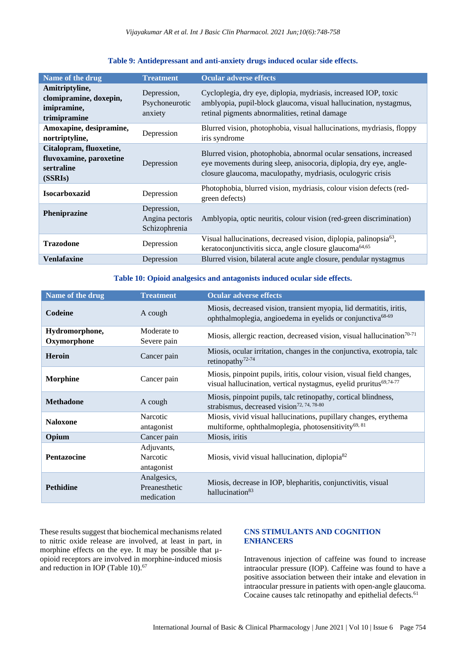| Table 9: Antidepressant and anti-anxiety drugs induced ocular side effects. |  |  |
|-----------------------------------------------------------------------------|--|--|
|                                                                             |  |  |

| Name of the drug                                                            | <b>Treatment</b>                                | <b>Ocular adverse effects</b>                                                                                                                                                                          |
|-----------------------------------------------------------------------------|-------------------------------------------------|--------------------------------------------------------------------------------------------------------------------------------------------------------------------------------------------------------|
| Amitriptyline,<br>clomipramine, doxepin,<br>imipramine,<br>trimipramine     | Depression,<br>Psychoneurotic<br>anxiety        | Cycloplegia, dry eye, diplopia, mydriasis, increased IOP, toxic<br>amblyopia, pupil-block glaucoma, visual hallucination, nystagmus,<br>retinal pigments abnormalities, retinal damage                 |
| Amoxapine, desipramine,<br>nortriptyline,                                   | Depression                                      | Blurred vision, photophobia, visual hallucinations, mydriasis, floppy<br>iris syndrome                                                                                                                 |
| Citalopram, fluoxetine,<br>fluvoxamine, paroxetine<br>sertraline<br>(SSRIs) | Depression                                      | Blurred vision, photophobia, abnormal ocular sensations, increased<br>eye movements during sleep, anisocoria, diplopia, dry eye, angle-<br>closure glaucoma, maculopathy, mydriasis, oculogyric crisis |
| <b>Isocarboxazid</b>                                                        | Depression                                      | Photophobia, blurred vision, mydriasis, colour vision defects (red-<br>green defects)                                                                                                                  |
| Pheniprazine                                                                | Depression,<br>Angina pectoris<br>Schizophrenia | Amblyopia, optic neuritis, colour vision (red-green discrimination)                                                                                                                                    |
| <b>Trazodone</b>                                                            | Depression                                      | Visual hallucinations, decreased vision, diplopia, palinopsia <sup>63</sup> ,<br>keratoconjunctivitis sicca, angle closure glaucoma <sup>64,65</sup>                                                   |
| <b>Venlafaxine</b>                                                          | Depression                                      | Blurred vision, bilateral acute angle closure, pendular nystagmus                                                                                                                                      |

## **Table 10: Opioid analgesics and antagonists induced ocular side effects.**

| Name of the drug              | <b>Treatment</b>                           | <b>Ocular adverse effects</b>                                                                                                                          |
|-------------------------------|--------------------------------------------|--------------------------------------------------------------------------------------------------------------------------------------------------------|
| Codeine                       | A cough                                    | Miosis, decreased vision, transient myopia, lid dermatitis, iritis,<br>ophthalmoplegia, angioedema in eyelids or conjunctiva <sup>68-69</sup>          |
| Hydromorphone,<br>Oxymorphone | Moderate to<br>Severe pain                 | Miosis, allergic reaction, decreased vision, visual hallucination <sup>70-71</sup>                                                                     |
| <b>Heroin</b>                 | Cancer pain                                | Miosis, ocular irritation, changes in the conjunctiva, exotropia, talc<br>retinopathy <sup>72-74</sup>                                                 |
| <b>Morphine</b>               | Cancer pain                                | Miosis, pinpoint pupils, iritis, colour vision, visual field changes,<br>visual hallucination, vertical nystagmus, eyelid pruritus <sup>69,74-77</sup> |
| <b>Methadone</b>              | A cough                                    | Miosis, pinpoint pupils, talc retinopathy, cortical blindness,<br>strabismus, decreased vision <sup>72, 74, 78-80</sup>                                |
| <b>Naloxone</b>               | Narcotic<br>antagonist                     | Miosis, vivid visual hallucinations, pupillary changes, erythema<br>multiforme, ophthalmoplegia, photosensitivity <sup>69, 81</sup>                    |
| Opium                         | Cancer pain                                | Miosis, iritis                                                                                                                                         |
| <b>Pentazocine</b>            | Adjuvants,<br>Narcotic<br>antagonist       | Miosis, vivid visual hallucination, diplopia <sup>82</sup>                                                                                             |
| <b>Pethidine</b>              | Analgesics,<br>Preanesthetic<br>medication | Miosis, decrease in IOP, blepharitis, conjunctivitis, visual<br>hallucination <sup>83</sup>                                                            |

These results suggest that biochemical mechanisms related to nitric oxide release are involved, at least in part, in morphine effects on the eye. It may be possible that  $\mu$ opioid receptors are involved in morphine-induced miosis and reduction in IOP (Table 10).<sup>67</sup>

## **CNS STIMULANTS AND COGNITION ENHANCERS**

Intravenous injection of caffeine was found to increase intraocular pressure (IOP). Caffeine was found to have a positive association between their intake and elevation in intraocular pressure in patients with open-angle glaucoma. Cocaine causes talc retinopathy and epithelial defects.<sup>61</sup>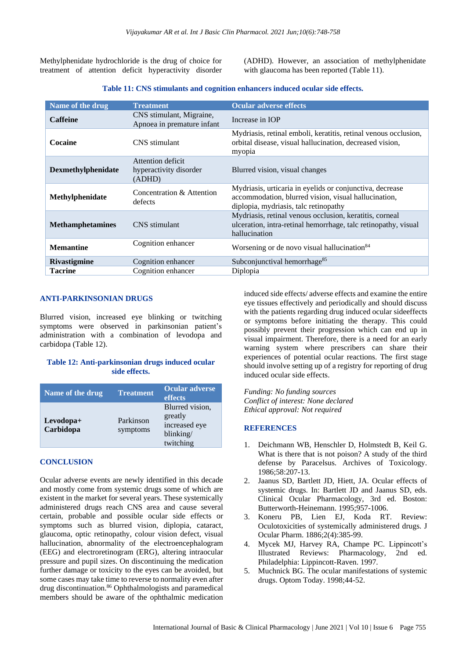Methylphenidate hydrochloride is the drug of choice for treatment of attention deficit hyperactivity disorder (ADHD). However, an association of methylphenidate with glaucoma has been reported (Table 11).

| Name of the drug        | <b>Treatment</b>                                       | <b>Ocular adverse effects</b>                                                                                                                             |
|-------------------------|--------------------------------------------------------|-----------------------------------------------------------------------------------------------------------------------------------------------------------|
| <b>Caffeine</b>         | CNS stimulant, Migraine,<br>Apnoea in premature infant | Increase in IOP                                                                                                                                           |
| Cocaine                 | CNS stimulant                                          | Mydriasis, retinal emboli, keratitis, retinal venous occlusion,<br>orbital disease, visual hallucination, decreased vision,<br>myopia                     |
| Dexmethylphenidate      | Attention deficit<br>hyperactivity disorder<br>(ADHD)  | Blurred vision, visual changes                                                                                                                            |
| Methylphenidate         | Concentration & Attention<br>defects                   | Mydriasis, urticaria in eyelids or conjunctiva, decrease<br>accommodation, blurred vision, visual hallucination,<br>diplopia, mydriasis, talc retinopathy |
| <b>Methamphetamines</b> | CNS stimulant                                          | Mydriasis, retinal venous occlusion, keratitis, corneal<br>ulceration, intra-retinal hemorrhage, talc retinopathy, visual<br>hallucination                |
| <b>Memantine</b>        | Cognition enhancer                                     | Worsening or de novo visual hallucination <sup>84</sup>                                                                                                   |
| <b>Rivastigmine</b>     | Cognition enhancer                                     | Subconjunctival hemorrhage <sup>85</sup>                                                                                                                  |
| <b>Tacrine</b>          | Cognition enhancer                                     | Diplopia                                                                                                                                                  |

#### **Table 11: CNS stimulants and cognition enhancers induced ocular side effects.**

#### **ANTI-PARKINSONIAN DRUGS**

Blurred vision, increased eye blinking or twitching symptoms were observed in parkinsonian patient's administration with a combination of levodopa and carbidopa (Table 12).

## **Table 12: Anti-parkinsonian drugs induced ocular side effects.**

| Name of the drug       | <b>Treatment</b>      | Ocular adverse<br>effects                                             |
|------------------------|-----------------------|-----------------------------------------------------------------------|
| Levodopa+<br>Carbidopa | Parkinson<br>symptoms | Blurred vision,<br>greatly<br>increased eye<br>blinking/<br>twitching |

#### **CONCLUSION**

Ocular adverse events are newly identified in this decade and mostly come from systemic drugs some of which are existent in the market for several years. These systemically administered drugs reach CNS area and cause several certain, probable and possible ocular side effects or symptoms such as blurred vision, diplopia, cataract, glaucoma, optic retinopathy, colour vision defect, visual hallucination, abnormality of the electroencephalogram (EEG) and electroretinogram (ERG), altering intraocular pressure and pupil sizes. On discontinuing the medication further damage or toxicity to the eyes can be avoided, but some cases may take time to reverse to normality even after drug discontinuation.<sup>86</sup> Ophthalmologists and paramedical members should be aware of the ophthalmic medication

induced side effects/ adverse effects and examine the entire eye tissues effectively and periodically and should discuss with the patients regarding drug induced ocular sideeffects or symptoms before initiating the therapy. This could possibly prevent their progression which can end up in visual impairment. Therefore, there is a need for an early warning system where prescribers can share their experiences of potential ocular reactions. The first stage should involve setting up of a registry for reporting of drug induced ocular side effects.

*Funding: No funding sources Conflict of interest: None declared Ethical approval: Not required*

#### **REFERENCES**

- 1. Deichmann WB, Henschler D, Holmstedt B, Keil G. What is there that is not poison? A study of the third defense by Paracelsus. Archives of Toxicology. 1986;58:207-13.
- 2. Jaanus SD, Bartlett JD, Hiett, JA. Ocular effects of systemic drugs. In: Bartlett JD and Jaanus SD, eds. Clinical Ocular Pharmacology, 3rd ed. Boston: Butterworth-Heinemann. 1995;957-1006.
- 3. Koneru PB, Lien EJ, Koda RT. Review: Oculotoxicities of systemically administered drugs. J Ocular Pharm. 1886;2(4):385-99.
- 4. Mycek MJ, Harvey RA, Champe PC. Lippincott's Illustrated Reviews: Pharmacology, 2nd ed. Philadelphia: Lippincott-Raven. 1997.
- 5. Muchnick BG. The ocular manifestations of systemic drugs. Optom Today. 1998;44-52.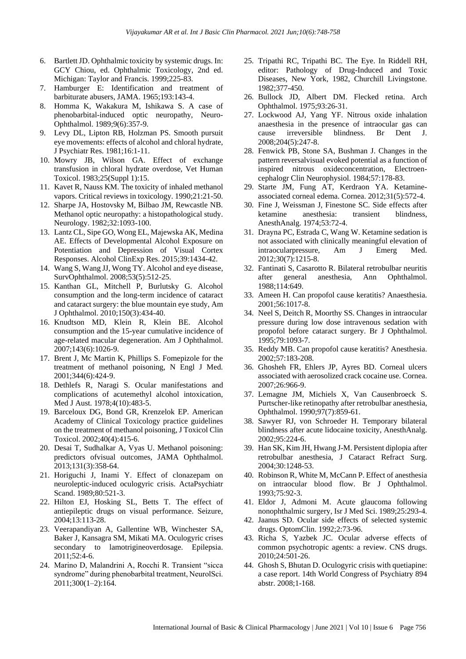- 6. Bartlett JD. Ophthalmic toxicity by systemic drugs. In: GCY Chiou, ed. Ophthalmic Toxicology, 2nd ed. Michigan: Taylor and Francis. 1999;225-83.
- 7. Hamburger E: Identification and treatment of barbiturate abusers, JAMA. 1965;193:143-4.
- 8. Homma K, Wakakura M, Ishikawa S. A case of phenobarbital-induced optic neuropathy, Neuro-Ophthalmol. 1989;9(6):357-9.
- 9. Levy DL, Lipton RB, Holzman PS. Smooth pursuit eye movements: effects of alcohol and chloral hydrate, J Psychiatr Res. 1981;16:1-11.
- 10. Mowry JB, Wilson GA. Effect of exchange transfusion in chloral hydrate overdose, Vet Human Toxicol. 1983;25(Suppl 1):15.
- 11. Kavet R, Nauss KM. The toxicity of inhaled methanol vapors. Critical reviews in toxicology. 1990;21:21-50.
- 12. Sharpe JA, Hostovsky M, Bilbao JM, Rewcastle NB. Methanol optic neuropathy: a histopathological study. Neurology. 1982;32:1093-100.
- 13. Lantz CL, Sipe GO, Wong EL, Majewska AK, Medina AE. Effects of Developmental Alcohol Exposure on Potentiation and Depression of Visual Cortex Responses. Alcohol ClinExp Res. 2015;39:1434-42.
- 14. Wang S, Wang JJ, Wong TY. Alcohol and eye disease, SurvOphthalmol. 2008;53(5):512-25.
- 15. Kanthan GL, Mitchell P, Burlutsky G. Alcohol consumption and the long-term incidence of cataract and cataract surgery: the blue mountain eye study, Am J Ophthalmol. 2010;150(3):434-40.
- 16. Knudtson MD, Klein R, Klein BE. Alcohol consumption and the 15-year cumulative incidence of age-related macular degeneration. Am J Ophthalmol. 2007;143(6):1026-9.
- 17. Brent J, Mc Martin K, Phillips S. Fomepizole for the treatment of methanol poisoning, N Engl J Med. 2001;344(6):424-9.
- 18. Dethlefs R, Naragi S. Ocular manifestations and complications of acutemethyl alcohol intoxication, Med J Aust. 1978;4(10):483-5.
- 19. Barceloux DG, Bond GR, Krenzelok EP. American Academy of Clinical Toxicology practice guidelines on the treatment of methanol poisoning, J Toxicol Clin Toxicol. 2002;40(4):415-6.
- 20. Desai T, Sudhalkar A, Vyas U. Methanol poisoning: predictors ofvisual outcomes, JAMA Ophthalmol. 2013;131(3):358-64.
- 21. Horiguchi J, Inami Y. Effect of clonazepam on neuroleptic-induced oculogyric crisis. ActaPsychiatr Scand. 1989;80:521-3.
- 22. Hilton EJ, Hosking SL, Betts T. The effect of antiepileptic drugs on visual performance. Seizure, 2004;13:113-28.
- 23. Veerapandiyan A, Gallentine WB, Winchester SA, Baker J, Kansagra SM, Mikati MA. Oculogyric crises secondary to lamotrigineoverdosage. Epilepsia. 2011;52:4-6.
- 24. Marino D, Malandrini A, Rocchi R. Transient "sicca syndrome" during phenobarbital treatment, NeurolSci. 2011;300(1–2):164.
- 25. Tripathi RC, Tripathi BC. The Eye. In Riddell RH, editor: Pathology of Drug-Induced and Toxic Diseases, New York, 1982, Churchill Livingstone. 1982;377-450.
- 26. Bullock JD, Albert DM. Flecked retina. Arch Ophthalmol. 1975;93:26-31.
- 27. Lockwood AJ, Yang YF. Nitrous oxide inhalation anaesthesia in the presence of intraocular gas can cause irreversible blindness. Br Dent J. 2008;204(5):247-8.
- 28. Fenwick PB, Stone SA, Bushman J. Changes in the pattern reversalvisual evoked potential as a function of inspired nitrous oxideconcentration, Electroencephalogr Clin Neurophysiol. 1984;57:178-83.
- 29. Starte JM, Fung AT, Kerdraon YA. Ketamineassociated corneal edema. Cornea. 2012;31(5):572-4.
- 30. Fine J, Weissman J, Finestone SC. Side effects after ketamine anesthesia: transient blindness, AnesthAnalg. 1974;53:72-4.
- 31. Drayna PC, Estrada C, Wang W. Ketamine sedation is not associated with clinically meaningful elevation of intraocularpressure, Am J Emerg Med. 2012;30(7):1215-8.
- 32. Fantinati S, Casarotto R. Bilateral retrobulbar neuritis after general anesthesia, Ann Ophthalmol. 1988;114:649.
- 33. Ameen H. Can propofol cause keratitis? Anaesthesia. 2001;56:1017-8.
- 34. Neel S, Deitch R, Moorthy SS. Changes in intraocular pressure during low dose intravenous sedation with propofol before cataract surgery. Br J Ophthalmol. 1995;79:1093-7.
- 35. Reddy MB. Can propofol cause keratitis? Anesthesia. 2002;57:183-208.
- 36. Ghosheh FR, Ehlers JP, Ayres BD. Corneal ulcers associated with aerosolized crack cocaine use. Cornea. 2007;26:966-9.
- 37. Lemagne JM, Michiels X, Van Causenbroeck S. Purtscher-like retinopathy after retrobulbar anesthesia, Ophthalmol. 1990;97(7):859-61.
- 38. Sawyer RJ, von Schroeder H. Temporary bilateral blindness after acute lidocaine toxicity, AnesthAnalg. 2002;95:224-6.
- 39. Han SK, Kim JH, Hwang J-M. Persistent diplopia after retrobulbar anesthesia, J Cataract Refract Surg. 2004;30:1248-53.
- 40. Robinson R, White M, McCann P. Effect of anesthesia on intraocular blood flow. Br J Ophthalmol. 1993;75:92-3.
- 41. Eldor J, Admoni M. Acute glaucoma following nonophthalmic surgery, Isr J Med Sci. 1989;25:293-4.
- 42. Jaanus SD. Ocular side effects of selected systemic drugs. OptomClin. 1992;2:73-96.
- 43. Richa S, Yazbek JC. Ocular adverse effects of common psychotropic agents: a review. CNS drugs. 2010;24:501-26.
- 44. Ghosh S, Bhutan D. Oculogyric crisis with quetiapine: a case report. 14th World Congress of Psychiatry 894 abstr. 2008;1-168.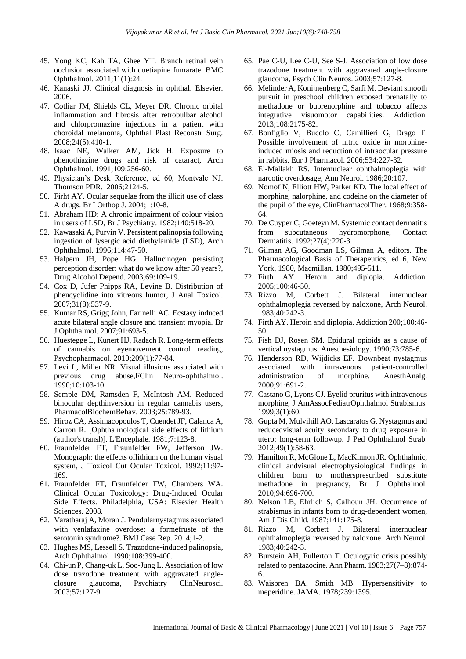- 45. Yong KC, Kah TA, Ghee YT. Branch retinal vein occlusion associated with quetiapine fumarate. BMC Ophthalmol. 2011;11(1):24.
- 46. Kanaski JJ. Clinical diagnosis in ophthal. Elsevier. 2006.
- 47. Cotliar JM, Shields CL, Meyer DR. Chronic orbital inflammation and fibrosis after retrobulbar alcohol and chlorpromazine injections in a patient with choroidal melanoma, Ophthal Plast Reconstr Surg. 2008;24(5):410-1.
- 48. Isaac NE, Walker AM, Jick H. Exposure to phenothiazine drugs and risk of cataract, Arch Ophthalmol. 1991;109:256-60.
- 49. Physician's Desk Reference, ed 60, Montvale NJ. Thomson PDR. 2006;2124-5.
- 50. Firht AY. Ocular sequelae from the illicit use of class A drugs. Br I Orthop J. 2004;1:10-8.
- 51. Abraham HD: A chronic impairment of colour vision in users of LSD, Br J Psychiatry. 1982;140:518-20.
- 52. Kawasaki A, Purvin V. Persistent palinopsia following ingestion of lysergic acid diethylamide (LSD), Arch Ophthalmol. 1996;114:47-50.
- 53. Halpern JH, Pope HG. Hallucinogen persisting perception disorder: what do we know after 50 years?, Drug Alcohol Depend. 2003;69:109-19.
- 54. Cox D, Jufer Phipps RA, Levine B. Distribution of phencyclidine into vitreous humor, J Anal Toxicol. 2007;31(8):537-9.
- 55. Kumar RS, Grigg John, Farinelli AC. Ecstasy induced acute bilateral angle closure and transient myopia. Br J Ophthalmol. 2007;91:693-5.
- 56. Huestegge L, Kunert HJ, Radach R. Long-term effects of cannabis on eyemovement control reading, Psychopharmacol. 2010;209(1):77-84.
- 57. Levi L, Miller NR. Visual illusions associated with previous drug abuse,FClin Neuro-ophthalmol. 1990;10:103-10.
- 58. Semple DM, Ramsden F, McIntosh AM. Reduced binocular depthinversion in regular cannabis users, PharmacolBiochemBehav. 2003;25:789-93.
- 59. Hiroz CA, Assimacopoulos T, Cuendet JF, Calanca A, Carron R. [Ophthalmological side effects of lithium (author's transl)]. L'Encephale. 1981;7:123-8.
- 60. Fraunfelder FT, Fraunfelder FW, Jefferson JW. Monograph: the effects oflithium on the human visual system, J Toxicol Cut Ocular Toxicol. 1992;11:97- 169.
- 61. Fraunfelder FT, Fraunfelder FW, Chambers WA. Clinical Ocular Toxicology: Drug-Induced Ocular Side Effects. Philadelphia, USA: Elsevier Health Sciences. 2008.
- 62. Varatharaj A, Moran J. Pendularnystagmus associated with venlafaxine overdose: a formefruste of the serotonin syndrome?. BMJ Case Rep. 2014;1-2.
- 63. Hughes MS, Lessell S. Trazodone-induced palinopsia, Arch Ophthalmol. 1990;108:399-400.
- 64. Chi-un P, Chang-uk L, Soo-Jung L. Association of low dose trazodone treatment with aggravated angleclosure glaucoma, Psychiatry ClinNeurosci. 2003;57:127-9.
- 65. Pae C-U, Lee C-U, See S-J. Association of low dose trazodone treatment with aggravated angle-closure glaucoma, Psych Clin Neuros. 2003;57:127-8.
- 66. Melinder A, Konijnenberg C, Sarfi M. Deviant smooth pursuit in preschool children exposed prenatally to methadone or buprenorphine and tobacco affects integrative visuomotor capabilities. Addiction. 2013;108:2175-82.
- 67. Bonfiglio V, Bucolo C, Camillieri G, Drago F. Possible involvement of nitric oxide in morphineinduced miosis and reduction of intraocular pressure in rabbits. Eur J Pharmacol. 2006;534:227-32.
- 68. El-Mallakh RS. Internuclear ophthalmoplegia with narcotic overdosage, Ann Neurol. 1986;20:107.
- 69. Nomof N, Elliott HW, Parker KD. The local effect of morphine, nalorphine, and codeine on the diameter of the pupil of the eye, ClinPharmacolTher. 1968;9:358- 64.
- 70. De Cuyper C, Goeteyn M. Systemic contact dermatitis from subcutaneous hydromorphone, Contact Dermatitis. 1992;27(4):220-3.
- 71. Gilman AG, Goodman LS, Gilman A, editors. The Pharmacological Basis of Therapeutics, ed 6, New York, 1980, Macmillan. 1980;495-511.
- 72. Firth AY. Heroin and diplopia. Addiction. 2005;100:46-50.
- 73. Rizzo M, Corbett J. Bilateral internuclear ophthalmoplegia reversed by naloxone, Arch Neurol. 1983;40:242-3.
- 74. Firth AY. Heroin and diplopia. Addiction 200;100:46- 50.
- 75. Fish DJ, Rosen SM. Epidural opioids as a cause of vertical nystagmus. Anesthesiology. 1990;73:785-6.
- 76. Henderson RD, Wijdicks EF. Downbeat nystagmus associated with intravenous patient-controlled administration of morphine. AnesthAnalg. 2000;91:691-2.
- 77. Castano G, Lyons CJ. Eyelid pruritus with intravenous morphine, J AmAssocPediatrOphthalmol Strabismus. 1999;3(1):60.
- 78. Gupta M, Mulvihill AO, Lascaratos G. Nystagmus and reducedvisual acuity secondary to drug exposure in utero: long-term followup. J Ped Ophthalmol Strab. 2012;49(1):58-63.
- 79. Hamilton R, McGlone L, MacKinnon JR. Ophthalmic, clinical andvisual electrophysiological findings in children born to mothersprescribed substitute methadone in pregnancy, Br J Ophthalmol. 2010;94:696-700.
- 80. Nelson LB, Ehrlich S, Calhoun JH. Occurrence of strabismus in infants born to drug-dependent women, Am J Dis Child. 1987;141:175-8.
- 81. Rizzo M, Corbett J. Bilateral internuclear ophthalmoplegia reversed by naloxone. Arch Neurol. 1983;40:242-3.
- 82. Burstein AH, Fullerton T. Oculogyric crisis possibly related to pentazocine. Ann Pharm. 1983;27(7–8):874- 6.
- 83. Waisbren BA, Smith MB. Hypersensitivity to meperidine. JAMA. 1978;239:1395.